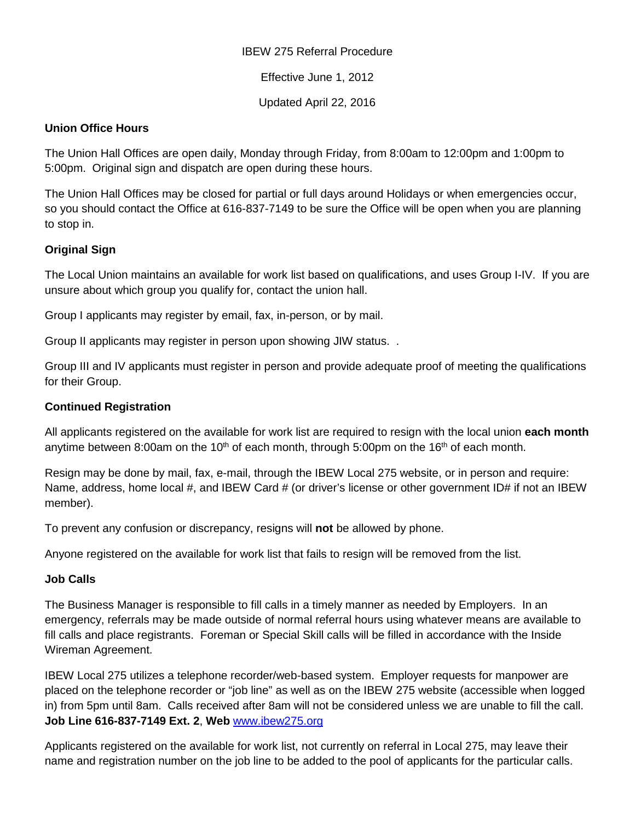#### IBEW 275 Referral Procedure

Effective June 1, 2012

Updated April 22, 2016

### **Union Office Hours**

The Union Hall Offices are open daily, Monday through Friday, from 8:00am to 12:00pm and 1:00pm to 5:00pm. Original sign and dispatch are open during these hours.

The Union Hall Offices may be closed for partial or full days around Holidays or when emergencies occur, so you should contact the Office at 616-837-7149 to be sure the Office will be open when you are planning to stop in.

# **Original Sign**

The Local Union maintains an available for work list based on qualifications, and uses Group I-IV. If you are unsure about which group you qualify for, contact the union hall.

Group I applicants may register by email, fax, in-person, or by mail.

Group II applicants may register in person upon showing JIW status. .

Group III and IV applicants must register in person and provide adequate proof of meeting the qualifications for their Group.

### **Continued Registration**

All applicants registered on the available for work list are required to resign with the local union **each month** anytime between 8:00am on the 10<sup>th</sup> of each month, through 5:00pm on the 16<sup>th</sup> of each month.

Resign may be done by mail, fax, e-mail, through the IBEW Local 275 website, or in person and require: Name, address, home local #, and IBEW Card # (or driver's license or other government ID# if not an IBEW member).

To prevent any confusion or discrepancy, resigns will **not** be allowed by phone.

Anyone registered on the available for work list that fails to resign will be removed from the list.

#### **Job Calls**

The Business Manager is responsible to fill calls in a timely manner as needed by Employers. In an emergency, referrals may be made outside of normal referral hours using whatever means are available to fill calls and place registrants. Foreman or Special Skill calls will be filled in accordance with the Inside Wireman Agreement.

IBEW Local 275 utilizes a telephone recorder/web-based system. Employer requests for manpower are placed on the telephone recorder or "job line" as well as on the IBEW 275 website (accessible when logged in) from 5pm until 8am. Calls received after 8am will not be considered unless we are unable to fill the call. **Job Line 616-837-7149 Ext. 2**, **Web** [www.ibew275.org](http://www.ibew275.org/)

Applicants registered on the available for work list, not currently on referral in Local 275, may leave their name and registration number on the job line to be added to the pool of applicants for the particular calls.